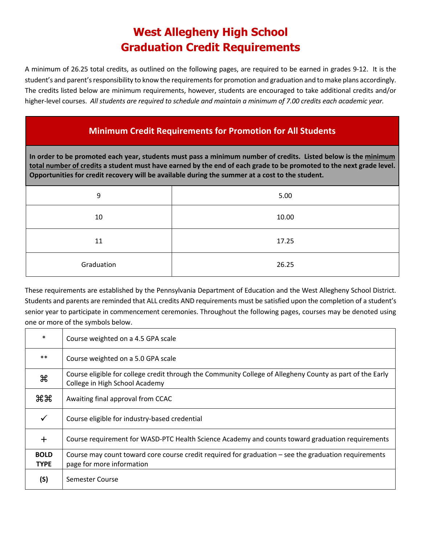## **West Allegheny High School Graduation Credit Requirements**

A minimum of 26.25 total credits, as outlined on the following pages, are required to be earned in grades 9-12. It is the student's and parent's responsibility to know the requirements for promotion and graduation and to make plans accordingly. The credits listed below are minimum requirements, however, students are encouraged to take additional credits and/or higher-level courses. *All students are required to schedule and maintain a minimum of 7.00 credits each academic year.*

### **Minimum Credit Requirements for Promotion for All Students**

**In order to be promoted each year, students must pass a minimum number of credits. Listed below is the minimum total number of credits a student must have earned by the end of each grade to be promoted to the next grade level. Opportunities for credit recovery will be available during the summer at a cost to the student.**

| 9          | 5.00  |
|------------|-------|
| 10         | 10.00 |
| 11         | 17.25 |
| Graduation | 26.25 |

These requirements are established by the Pennsylvania Department of Education and the West Allegheny School District. Students and parents are reminded that ALL credits AND requirements must be satisfied upon the completion of a student's senior year to participate in commencement ceremonies. Throughout the following pages, courses may be denoted using one or more of the symbols below.

| $\ast$                     | Course weighted on a 4.5 GPA scale                                                                                                          |
|----------------------------|---------------------------------------------------------------------------------------------------------------------------------------------|
| $***$                      | Course weighted on a 5.0 GPA scale                                                                                                          |
| æ                          | Course eligible for college credit through the Community College of Allegheny County as part of the Early<br>College in High School Academy |
| жж                         | Awaiting final approval from CCAC                                                                                                           |
| $\checkmark$               | Course eligible for industry-based credential                                                                                               |
| $+$                        | Course requirement for WASD-PTC Health Science Academy and counts toward graduation requirements                                            |
| <b>BOLD</b><br><b>TYPE</b> | Course may count toward core course credit required for graduation – see the graduation requirements<br>page for more information           |
| (S)                        | Semester Course                                                                                                                             |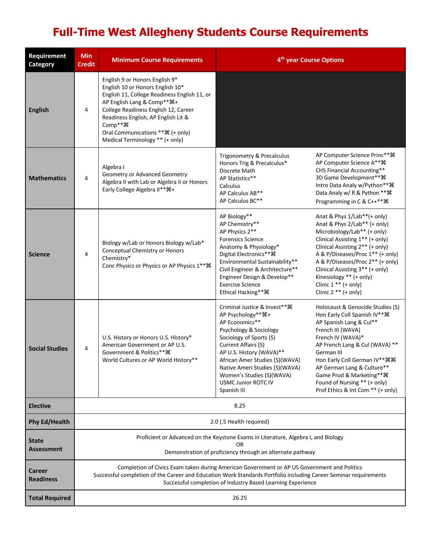# **Full-Time West Allegheny Students Course Requirements**

| Requirement<br>Category           | <b>Min</b><br><b>Credit</b>                                                                                                                                                                                                                                                    | <b>Minimum Course Requirements</b>                                                                                                                                                                                                                                                                                               |                                                                                                                                                                                                                                                                                                                             | 4 <sup>th</sup> year Course Options                                                                                                                                                                                                                                                                                                                          |
|-----------------------------------|--------------------------------------------------------------------------------------------------------------------------------------------------------------------------------------------------------------------------------------------------------------------------------|----------------------------------------------------------------------------------------------------------------------------------------------------------------------------------------------------------------------------------------------------------------------------------------------------------------------------------|-----------------------------------------------------------------------------------------------------------------------------------------------------------------------------------------------------------------------------------------------------------------------------------------------------------------------------|--------------------------------------------------------------------------------------------------------------------------------------------------------------------------------------------------------------------------------------------------------------------------------------------------------------------------------------------------------------|
| <b>English</b>                    | 4                                                                                                                                                                                                                                                                              | English 9 or Honors English 9*<br>English 10 or Honors English 10*<br>English 11, College Readiness English 11, or<br>AP English Lang & Comp** %+<br>College Readiness English 12, Career<br>Readiness English, AP English Lit &<br>Comp** <sub>36</sub><br>Oral Communications ** ¥ (+ only)<br>Medical Terminology ** (+ only) |                                                                                                                                                                                                                                                                                                                             |                                                                                                                                                                                                                                                                                                                                                              |
| <b>Mathematics</b>                | 4                                                                                                                                                                                                                                                                              | Algebra I<br>Geometry or Advanced Geometry<br>Algebra II with Lab or Algebra II or Honors<br>Early College Algebra II** 0+                                                                                                                                                                                                       | Trigonometry & Precalculus<br>Honors Trig & Precalculus*<br>Discrete Math<br>AP Statistics**<br>Calculus<br>AP Calculus AB**<br>AP Calculus BC**                                                                                                                                                                            | AP Computer Science Princ** 36<br>AP Computer Science A** 36<br>CHS Financial Accounting**<br>3D Game Development** %<br>Intro Data Analy w/Python** 36<br>Data Analy w/ R & Python ** 36<br>Programming in C & C++** 36                                                                                                                                     |
| <b>Science</b>                    | 4                                                                                                                                                                                                                                                                              | Biology w/Lab or Honors Biology w/Lab*<br>Conceptual Chemistry or Honors<br>Chemistry*<br>Conc Physics or Physics or AP Physics 1 ** 36                                                                                                                                                                                          | AP Biology**<br>AP Chemistry**<br>AP Physics 2**<br><b>Forensics Science</b><br>Anatomy & Physiology*<br>Digital Electronics** 36<br>Environmental Sustainability**<br>Civil Engineer & Architecture**<br>Engineer Design & Develop**<br><b>Exercise Science</b><br>Ethical Hacking** %                                     | Anat & Phys 1/Lab**(+ only)<br>Anat & Phys 2/Lab** (+ only)<br>Microbiology/Lab** (+ only)<br>Clinical Assisting 1** (+ only)<br>Clinical Assisting 2** (+ only)<br>A & P/Diseases/Proc 1** (+ only)<br>A & P/Diseases/Proc 2** (+ only)<br>Clinical Assisting 3** (+ only)<br>Kinesiology ** (+ only)<br>Clinic $1**$ (+ only)<br>Clinic $2$ ** (+ only)    |
| <b>Social Studies</b>             | 4                                                                                                                                                                                                                                                                              | U.S. History or Honors U.S. History*<br>American Government or AP U.S.<br>Government & Politics** %<br>World Cultures or AP World History**                                                                                                                                                                                      | Criminal Justice & Invest** %<br>AP Psychology** 米+<br>AP Economics**<br>Psychology & Sociology<br>Sociology of Sports (S)<br>Current Affairs (S)<br>AP U.S. History (WAVA)**<br>African Amer Studies (S)(WAVA)<br>Native Ameri Studies (S)(WAVA)<br>Women's Studies (S)(WAVA)<br><b>USMC Junior ROTC IV</b><br>Spanish III | Holocaust & Genocide Studies (S)<br>Hon Early Coll Spanish IV ** 36<br>AP Spanish Lang & Cul**<br>French III (WAVA)<br>French IV (WAVA)*<br>AP French Lang & Cul (WAVA) **<br>German III<br>Hon Early Coll German IV** 98 98<br>AP German Lang & Culture**<br>Game Prod & Marketing** %<br>Found of Nursing ** (+ only)<br>Prof Ethics & Int Com ** (+ only) |
| <b>Elective</b>                   | 8.25                                                                                                                                                                                                                                                                           |                                                                                                                                                                                                                                                                                                                                  |                                                                                                                                                                                                                                                                                                                             |                                                                                                                                                                                                                                                                                                                                                              |
| <b>Phy Ed/Health</b>              | 2.0 (.5 Health required)                                                                                                                                                                                                                                                       |                                                                                                                                                                                                                                                                                                                                  |                                                                                                                                                                                                                                                                                                                             |                                                                                                                                                                                                                                                                                                                                                              |
| <b>State</b><br><b>Assessment</b> | Proficient or Advanced on the Keystone Exams in Literature, Algebra I, and Biology<br>OR<br>Demonstration of proficiency through an alternate pathway                                                                                                                          |                                                                                                                                                                                                                                                                                                                                  |                                                                                                                                                                                                                                                                                                                             |                                                                                                                                                                                                                                                                                                                                                              |
| Career<br><b>Readiness</b>        | Completion of Civics Exam taken during American Government or AP US Government and Politics<br>Successful completion of the Career and Education Work Standards Portfolio including Career Seminar requirements<br>Successful completion of Industry Based Learning Experience |                                                                                                                                                                                                                                                                                                                                  |                                                                                                                                                                                                                                                                                                                             |                                                                                                                                                                                                                                                                                                                                                              |
| <b>Total Required</b>             | 26.25                                                                                                                                                                                                                                                                          |                                                                                                                                                                                                                                                                                                                                  |                                                                                                                                                                                                                                                                                                                             |                                                                                                                                                                                                                                                                                                                                                              |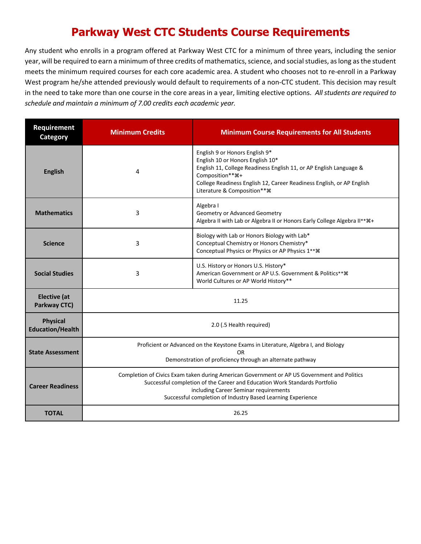## **Parkway West CTC Students Course Requirements**

Any student who enrolls in a program offered at Parkway West CTC for a minimum of three years, including the senior year, will be required to earn a minimum of three credits of mathematics, science, and social studies, as long as the student meets the minimum required courses for each core academic area. A student who chooses not to re-enroll in a Parkway West program he/she attended previously would default to requirements of a non-CTC student. This decision may result in the need to take more than one course in the core areas in a year, limiting elective options. *All students are required to schedule and maintain a minimum of 7.00 credits each academic year.*

| <b>Requirement</b><br><b>Category</b>      | <b>Minimum Credits</b> | <b>Minimum Course Requirements for All Students</b>                                                                                                                                                                                                                               |  |
|--------------------------------------------|------------------------|-----------------------------------------------------------------------------------------------------------------------------------------------------------------------------------------------------------------------------------------------------------------------------------|--|
| <b>English</b>                             | 4                      | English 9 or Honors English 9*<br>English 10 or Honors English 10*<br>English 11, College Readiness English 11, or AP English Language &<br>Composition**%+<br>College Readiness English 12, Career Readiness English, or AP English<br>Literature & Composition**%               |  |
| <b>Mathematics</b>                         | 3                      | Algebra I<br>Geometry or Advanced Geometry<br>Algebra II with Lab or Algebra II or Honors Early College Algebra II** #+                                                                                                                                                           |  |
| <b>Science</b>                             | 3                      | Biology with Lab or Honors Biology with Lab*<br>Conceptual Chemistry or Honors Chemistry*<br>Conceptual Physics or Physics or AP Physics 1** **                                                                                                                                   |  |
| <b>Social Studies</b>                      | 3                      | U.S. History or Honors U.S. History*<br>American Government or AP U.S. Government & Politics***<br>World Cultures or AP World History**                                                                                                                                           |  |
| <b>Elective</b> (at<br>Parkway CTC)        |                        | 11.25                                                                                                                                                                                                                                                                             |  |
| <b>Physical</b><br><b>Education/Health</b> |                        | 2.0 (.5 Health required)                                                                                                                                                                                                                                                          |  |
| <b>State Assessment</b>                    |                        | Proficient or Advanced on the Keystone Exams in Literature, Algebra I, and Biology<br>OR<br>Demonstration of proficiency through an alternate pathway                                                                                                                             |  |
| <b>Career Readiness</b>                    |                        | Completion of Civics Exam taken during American Government or AP US Government and Politics<br>Successful completion of the Career and Education Work Standards Portfolio<br>including Career Seminar requirements<br>Successful completion of Industry Based Learning Experience |  |
| <b>TOTAL</b>                               |                        | 26.25                                                                                                                                                                                                                                                                             |  |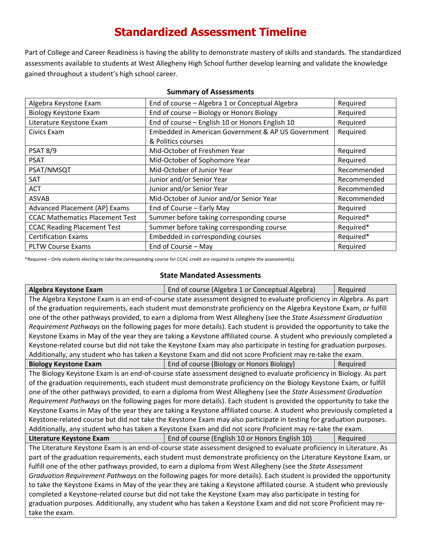### **Standardized Assessment Timeline**

Part of College and Career Readiness is having the ability to demonstrate mastery of skills and standards. The standardized assessments available to students at West Allegheny High School further develop learning and validate the knowledge gained throughout a student's high school career.

| Algebra Keystone Exam                  | End of course - Algebra 1 or Conceptual Algebra    | Required    |
|----------------------------------------|----------------------------------------------------|-------------|
| <b>Biology Keystone Exam</b>           | End of course - Biology or Honors Biology          | Required    |
| Literature Keystone Exam               | End of course - English 10 or Honors English 10    | Required    |
| Civics Exam                            | Embedded in American Government & AP US Government | Required    |
|                                        | & Politics courses                                 |             |
| <b>PSAT 8/9</b>                        | Mid-October of Freshmen Year                       | Required    |
| <b>PSAT</b>                            | Mid-October of Sophomore Year                      | Required    |
| PSAT/NMSQT                             | Mid-October of Junior Year                         | Recommended |
| <b>SAT</b>                             | Junior and/or Senior Year                          | Recommended |
| <b>ACT</b>                             | Junior and/or Senior Year                          | Recommended |
| <b>ASVAB</b>                           | Mid-October of Junior and/or Senior Year           | Recommended |
| Advanced Placement (AP) Exams          | End of Course - Early May                          | Required    |
| <b>CCAC Mathematics Placement Test</b> | Summer before taking corresponding course          | Required*   |
| <b>CCAC Reading Placement Test</b>     | Summer before taking corresponding course          | Required*   |
| <b>Certification Exams</b>             | Embedded in corresponding courses                  | Required*   |
| <b>PLTW Course Exams</b>               | End of Course - May                                | Required    |

### **Summary of Assessments**

\*Required – Only students electing to take the corresponding course for CCAC credit are required to complete the assessment(s).

### **State Mandated Assessments**

| Algebra Keystone Exam                                                                                                | End of course (Algebra 1 or Conceptual Algebra)                                                                      | Required |  |
|----------------------------------------------------------------------------------------------------------------------|----------------------------------------------------------------------------------------------------------------------|----------|--|
|                                                                                                                      | The Algebra Keystone Exam is an end-of-course state assessment designed to evaluate proficiency in Algebra. As part  |          |  |
|                                                                                                                      | of the graduation requirements, each student must demonstrate proficiency on the Algebra Keystone Exam, or fulfill   |          |  |
|                                                                                                                      | one of the other pathways provided, to earn a diploma from West Allegheny (see the State Assessment Graduation       |          |  |
|                                                                                                                      | Requirement Pathways on the following pages for more details). Each student is provided the opportunity to take the  |          |  |
|                                                                                                                      | Keystone Exams in May of the year they are taking a Keystone affiliated course. A student who previously completed a |          |  |
|                                                                                                                      | Keystone-related course but did not take the Keystone Exam may also participate in testing for graduation purposes.  |          |  |
|                                                                                                                      | Additionally, any student who has taken a Keystone Exam and did not score Proficient may re-take the exam.           |          |  |
| <b>Biology Keystone Exam</b>                                                                                         | End of course (Biology or Honors Biology)                                                                            | Required |  |
|                                                                                                                      | The Biology Keystone Exam is an end-of-course state assessment designed to evaluate proficiency in Biology. As part  |          |  |
|                                                                                                                      | of the graduation requirements, each student must demonstrate proficiency on the Biology Keystone Exam, or fulfill   |          |  |
|                                                                                                                      | one of the other pathways provided, to earn a diploma from West Allegheny (see the State Assessment Graduation       |          |  |
| Requirement Pathways on the following pages for more details). Each student is provided the opportunity to take the  |                                                                                                                      |          |  |
| Keystone Exams in May of the year they are taking a Keystone affiliated course. A student who previously completed a |                                                                                                                      |          |  |
| Keystone-related course but did not take the Keystone Exam may also participate in testing for graduation purposes.  |                                                                                                                      |          |  |
|                                                                                                                      | Additionally, any student who has taken a Keystone Exam and did not score Proficient may re-take the exam.           |          |  |
| Literature Keystone Exam                                                                                             | End of course (English 10 or Honors English 10)                                                                      | Required |  |
|                                                                                                                      | The Literature Keystone Exam is an end-of-course state assessment designed to evaluate proficiency in Literature. As |          |  |
|                                                                                                                      | part of the graduation requirements, each student must demonstrate proficiency on the Literature Keystone Exam, or   |          |  |
| fulfill one of the other pathways provided, to earn a diploma from West Allegheny (see the State Assessment          |                                                                                                                      |          |  |
| Graduation Requirement Pathways on the following pages for more details). Each student is provided the opportunity   |                                                                                                                      |          |  |
| to take the Keystone Exams in May of the year they are taking a Keystone affiliated course. A student who previously |                                                                                                                      |          |  |
| completed a Keystone-related course but did not take the Keystone Exam may also participate in testing for           |                                                                                                                      |          |  |
| graduation purposes. Additionally, any student who has taken a Keystone Exam and did not score Proficient may re-    |                                                                                                                      |          |  |
| take the exam.                                                                                                       |                                                                                                                      |          |  |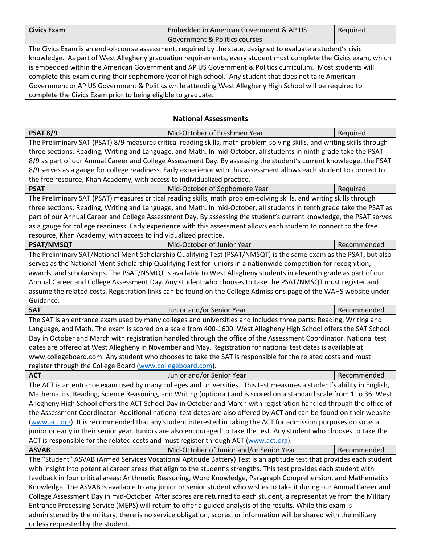| <b>Civics Exam</b> | Embedded in American Government & AP US | Reguired |
|--------------------|-----------------------------------------|----------|
|                    | Government & Politics courses           |          |

The Civics Exam is an end-of-course assessment, required by the state, designed to evaluate a student's civic knowledge. As part of West Allegheny graduation requirements, every student must complete the Civics exam, which is embedded within the American Government and AP US Government & Politics curriculum. Most students will complete this exam during their sophomore year of high school. Any student that does not take American Government or AP US Government & Politics while attending West Allegheny High School will be required to complete the Civics Exam prior to being eligible to graduate.

### **National Assessments**

| <b>PSAT 8/9</b>                                                                                                         | Mid-October of Freshmen Year                                                                                             | Required    |  |
|-------------------------------------------------------------------------------------------------------------------------|--------------------------------------------------------------------------------------------------------------------------|-------------|--|
|                                                                                                                         | The Preliminary SAT (PSAT) 8/9 measures critical reading skills, math problem-solving skills, and writing skills through |             |  |
| three sections: Reading, Writing and Language, and Math. In mid-October, all students in ninth grade take the PSAT      |                                                                                                                          |             |  |
|                                                                                                                         | 8/9 as part of our Annual Career and College Assessment Day. By assessing the student's current knowledge, the PSAT      |             |  |
|                                                                                                                         | 8/9 serves as a gauge for college readiness. Early experience with this assessment allows each student to connect to     |             |  |
| the free resource, Khan Academy, with access to individualized practice.                                                |                                                                                                                          |             |  |
| <b>PSAT</b>                                                                                                             | Mid-October of Sophomore Year                                                                                            | Required    |  |
|                                                                                                                         | The Preliminary SAT (PSAT) measures critical reading skills, math problem-solving skills, and writing skills through     |             |  |
|                                                                                                                         | three sections: Reading, Writing and Language, and Math. In mid-October, all students in tenth grade take the PSAT as    |             |  |
|                                                                                                                         | part of our Annual Career and College Assessment Day. By assessing the student's current knowledge, the PSAT serves      |             |  |
|                                                                                                                         | as a gauge for college readiness. Early experience with this assessment allows each student to connect to the free       |             |  |
| resource, Khan Academy, with access to individualized practice.                                                         |                                                                                                                          |             |  |
| <b>PSAT/NMSQT</b>                                                                                                       | Mid-October of Junior Year                                                                                               | Recommended |  |
|                                                                                                                         | The Preliminary SAT/National Merit Scholarship Qualifying Test (PSAT/NMSQT) is the same exam as the PSAT, but also       |             |  |
|                                                                                                                         | serves as the National Merit Scholarship Qualifying Test for juniors in a nationwide competition for recognition,        |             |  |
|                                                                                                                         | awards, and scholarships. The PSAT/NSMQT is available to West Allegheny students in eleventh grade as part of our        |             |  |
|                                                                                                                         | Annual Career and College Assessment Day. Any student who chooses to take the PSAT/NMSQT must register and               |             |  |
|                                                                                                                         | assume the related costs. Registration links can be found on the College Admissions page of the WAHS website under       |             |  |
| Guidance.                                                                                                               |                                                                                                                          |             |  |
| <b>SAT</b>                                                                                                              | Junior and/or Senior Year                                                                                                | Recommended |  |
|                                                                                                                         | The SAT is an entrance exam used by many colleges and universities and includes three parts: Reading, Writing and        |             |  |
| Language, and Math. The exam is scored on a scale from 400-1600. West Allegheny High School offers the SAT School       |                                                                                                                          |             |  |
| Day in October and March with registration handled through the office of the Assessment Coordinator. National test      |                                                                                                                          |             |  |
| dates are offered at West Allegheny in November and May. Registration for national test dates is available at           |                                                                                                                          |             |  |
|                                                                                                                         | www.collegeboard.com. Any student who chooses to take the SAT is responsible for the related costs and must              |             |  |
| register through the College Board (www.collegeboard.com).                                                              |                                                                                                                          |             |  |
| <b>ACT</b>                                                                                                              | Junior and/or Senior Year                                                                                                | Recommended |  |
|                                                                                                                         | The ACT is an entrance exam used by many colleges and universities. This test measures a student's ability in English,   |             |  |
|                                                                                                                         | Mathematics, Reading, Science Reasoning, and Writing (optional) and is scored on a standard scale from 1 to 36. West     |             |  |
|                                                                                                                         | Allegheny High School offers the ACT School Day in October and March with registration handled through the office of     |             |  |
|                                                                                                                         | the Assessment Coordinator. Additional national test dates are also offered by ACT and can be found on their website     |             |  |
| (www.act.org). It is recommended that any student interested in taking the ACT for admission purposes do so as a        |                                                                                                                          |             |  |
| junior or early in their senior year. Juniors are also encouraged to take the test. Any student who chooses to take the |                                                                                                                          |             |  |
| ACT is responsible for the related costs and must register through ACT (www.act.org).                                   |                                                                                                                          |             |  |
| <b>ASVAB</b>                                                                                                            | Mid-October of Junior and/or Senior Year                                                                                 | Recommended |  |
|                                                                                                                         | The "Student" ASVAB (Armed Services Vocational Aptitude Battery) Test is an aptitude test that provides each student     |             |  |
| with insight into potential career areas that align to the student's strengths. This test provides each student with    |                                                                                                                          |             |  |
| feedback in four critical areas: Arithmetic Reasoning, Word Knowledge, Paragraph Comprehension, and Mathematics         |                                                                                                                          |             |  |
|                                                                                                                         | Knowledge. The ASVAB is available to any junior or senior student who wishes to take it during our Annual Career and     |             |  |
| College Assessment Day in mid-October. After scores are returned to each student, a representative from the Military    |                                                                                                                          |             |  |
| Entrance Processing Service (MEPS) will return to offer a guided analysis of the results. While this exam is            |                                                                                                                          |             |  |
|                                                                                                                         | administered by the military, there is no service obligation, scores, or information will be shared with the military    |             |  |
| unless requested by the student.                                                                                        |                                                                                                                          |             |  |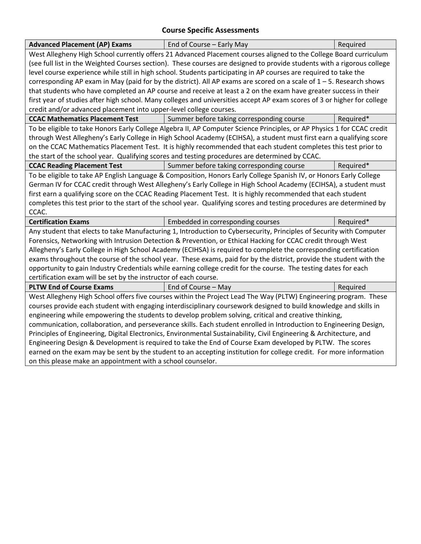### **Course Specific Assessments**

| <b>Advanced Placement (AP) Exams</b>                                                                                | End of Course - Early May                                                                                                | Required  |
|---------------------------------------------------------------------------------------------------------------------|--------------------------------------------------------------------------------------------------------------------------|-----------|
|                                                                                                                     | West Allegheny High School currently offers 21 Advanced Placement courses aligned to the College Board curriculum        |           |
|                                                                                                                     | (see full list in the Weighted Courses section). These courses are designed to provide students with a rigorous college  |           |
|                                                                                                                     | level course experience while still in high school. Students participating in AP courses are required to take the        |           |
|                                                                                                                     | corresponding AP exam in May (paid for by the district). All AP exams are scored on a scale of $1 - 5$ . Research shows  |           |
|                                                                                                                     | that students who have completed an AP course and receive at least a 2 on the exam have greater success in their         |           |
|                                                                                                                     | first year of studies after high school. Many colleges and universities accept AP exam scores of 3 or higher for college |           |
| credit and/or advanced placement into upper-level college courses.                                                  |                                                                                                                          |           |
| <b>CCAC Mathematics Placement Test</b>                                                                              | Summer before taking corresponding course                                                                                | Required* |
|                                                                                                                     | To be eligible to take Honors Early College Algebra II, AP Computer Science Principles, or AP Physics 1 for CCAC credit  |           |
|                                                                                                                     | through West Allegheny's Early College in High School Academy (ECIHSA), a student must first earn a qualifying score     |           |
|                                                                                                                     | on the CCAC Mathematics Placement Test. It is highly recommended that each student completes this test prior to          |           |
|                                                                                                                     | the start of the school year. Qualifying scores and testing procedures are determined by CCAC.                           |           |
| <b>CCAC Reading Placement Test</b>                                                                                  | Summer before taking corresponding course                                                                                | Required* |
| To be eligible to take AP English Language & Composition, Honors Early College Spanish IV, or Honors Early College  |                                                                                                                          |           |
|                                                                                                                     | German IV for CCAC credit through West Allegheny's Early College in High School Academy (ECIHSA), a student must         |           |
|                                                                                                                     | first earn a qualifying score on the CCAC Reading Placement Test. It is highly recommended that each student             |           |
|                                                                                                                     | completes this test prior to the start of the school year. Qualifying scores and testing procedures are determined by    |           |
| CCAC.                                                                                                               |                                                                                                                          |           |
| <b>Certification Exams</b>                                                                                          | Embedded in corresponding courses                                                                                        | Required* |
|                                                                                                                     | Any student that elects to take Manufacturing 1, Introduction to Cybersecurity, Principles of Security with Computer     |           |
|                                                                                                                     | Forensics, Networking with Intrusion Detection & Prevention, or Ethical Hacking for CCAC credit through West             |           |
|                                                                                                                     | Allegheny's Early College in High School Academy (ECIHSA) is required to complete the corresponding certification        |           |
|                                                                                                                     | exams throughout the course of the school year. These exams, paid for by the district, provide the student with the      |           |
| opportunity to gain Industry Credentials while earning college credit for the course. The testing dates for each    |                                                                                                                          |           |
| certification exam will be set by the instructor of each course.                                                    |                                                                                                                          |           |
| <b>PLTW End of Course Exams</b>                                                                                     | End of Course - May                                                                                                      | Required  |
| West Allegheny High School offers five courses within the Project Lead The Way (PLTW) Engineering program. These    |                                                                                                                          |           |
| courses provide each student with engaging interdisciplinary coursework designed to build knowledge and skills in   |                                                                                                                          |           |
| engineering while empowering the students to develop problem solving, critical and creative thinking,               |                                                                                                                          |           |
| communication, collaboration, and perseverance skills. Each student enrolled in Introduction to Engineering Design, |                                                                                                                          |           |
| Principles of Engineering, Digital Electronics, Environmental Sustainability, Civil Engineering & Architecture, and |                                                                                                                          |           |
| Engineering Design & Development is required to take the End of Course Exam developed by PLTW. The scores           |                                                                                                                          |           |
| earned on the exam may be sent by the student to an accepting institution for college credit. For more information  |                                                                                                                          |           |
| on this please make an appointment with a school counselor.                                                         |                                                                                                                          |           |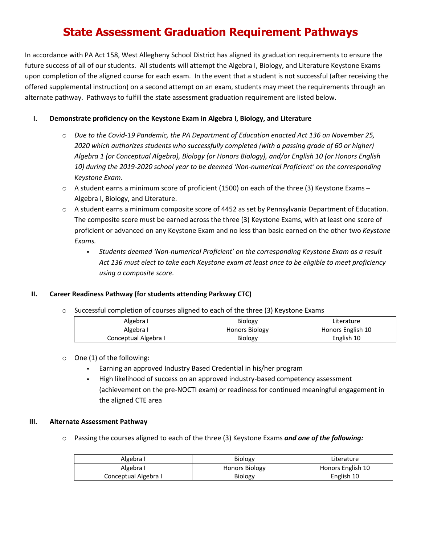### **State Assessment Graduation Requirement Pathways**

In accordance with PA Act 158, West Allegheny School District has aligned its graduation requirements to ensure the future success of all of our students. All students will attempt the Algebra I, Biology, and Literature Keystone Exams upon completion of the aligned course for each exam. In the event that a student is not successful (after receiving the offered supplemental instruction) on a second attempt on an exam, students may meet the requirements through an alternate pathway. Pathways to fulfill the state assessment graduation requirement are listed below.

### **I. Demonstrate proficiency on the Keystone Exam in Algebra I, Biology, and Literature**

- o *Due to the Covid-19 Pandemic, the PA Department of Education enacted Act 136 on November 25, 2020 which authorizes students who successfully completed (with a passing grade of 60 or higher) Algebra 1 (or Conceptual Algebra), Biology (or Honors Biology), and/or English 10 (or Honors English 10) during the 2019-2020 school year to be deemed 'Non-numerical Proficient' on the corresponding Keystone Exam.*
- $\circ$  A student earns a minimum score of proficient (1500) on each of the three (3) Keystone Exams Algebra I, Biology, and Literature.
- o A student earns a minimum composite score of 4452 as set by Pennsylvania Department of Education. The composite score must be earned across the three (3) Keystone Exams, with at least one score of proficient or advanced on any Keystone Exam and no less than basic earned on the other two *Keystone Exams.*
	- § *Students deemed 'Non-numerical Proficient' on the corresponding Keystone Exam as a result Act 136 must elect to take each Keystone exam at least once to be eligible to meet proficiency using a composite score.*

### **II. Career Readiness Pathway (for students attending Parkway CTC)**

 $\circ$  Successful completion of courses aligned to each of the three (3) Keystone Exams

| Algebra I            | <b>Biology</b>        | Literature        |
|----------------------|-----------------------|-------------------|
| Algebra I            | <b>Honors Biology</b> | Honors English 10 |
| Conceptual Algebra I | <b>Biology</b>        | English 10        |

### o One (1) of the following:

- § Earning an approved Industry Based Credential in his/her program
- High likelihood of success on an approved industry-based competency assessment (achievement on the pre-NOCTI exam) or readiness for continued meaningful engagement in the aligned CTE area

### **III. Alternate Assessment Pathway**

o Passing the courses aligned to each of the three (3) Keystone Exams *and one of the following:*

| Algebra I            | <b>Biology</b>        | Literature        |
|----------------------|-----------------------|-------------------|
| Algebra I            | <b>Honors Biology</b> | Honors English 10 |
| Conceptual Algebra I | Biology               | English 10        |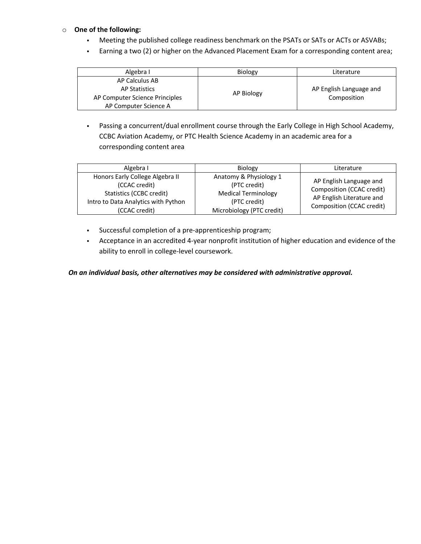### o **One of the following:**

- § Meeting the published college readiness benchmark on the PSATs or SATs or ACTs or ASVABs;
- § Earning a two (2) or higher on the Advanced Placement Exam for a corresponding content area;

| Algebra I                      | Biology    | Literature              |
|--------------------------------|------------|-------------------------|
| AP Calculus AB                 |            |                         |
| AP Statistics                  | AP Biology | AP English Language and |
| AP Computer Science Principles |            | Composition             |
| AP Computer Science A          |            |                         |

• Passing a concurrent/dual enrollment course through the Early College in High School Academy, CCBC Aviation Academy, or PTC Health Science Academy in an academic area for a corresponding content area

| Algebra I                                                                                                                            | <b>Biology</b>                                                                                                    | Literature                                                                                                     |
|--------------------------------------------------------------------------------------------------------------------------------------|-------------------------------------------------------------------------------------------------------------------|----------------------------------------------------------------------------------------------------------------|
| Honors Early College Algebra II<br>(CCAC credit)<br>Statistics (CCBC credit)<br>Intro to Data Analytics with Python<br>(CCAC credit) | Anatomy & Physiology 1<br>(PTC credit)<br><b>Medical Terminology</b><br>(PTC credit)<br>Microbiology (PTC credit) | AP English Language and<br>Composition (CCAC credit)<br>AP English Literature and<br>Composition (CCAC credit) |

- § Successful completion of a pre-apprenticeship program;
- § Acceptance in an accredited 4-year nonprofit institution of higher education and evidence of the ability to enroll in college-level coursework.

*On an individual basis, other alternatives may be considered with administrative approval.*